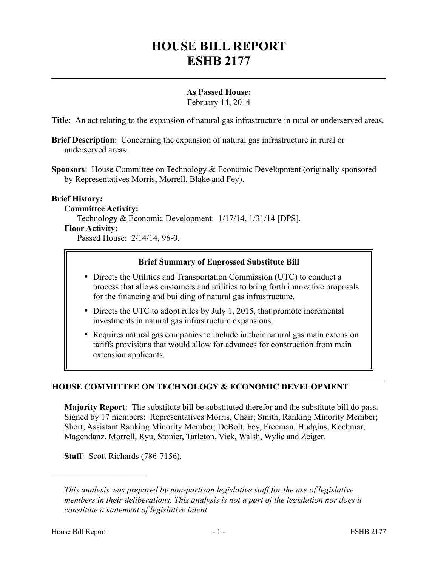# **HOUSE BILL REPORT ESHB 2177**

# **As Passed House:**

February 14, 2014

**Title**: An act relating to the expansion of natural gas infrastructure in rural or underserved areas.

**Brief Description**: Concerning the expansion of natural gas infrastructure in rural or underserved areas.

**Sponsors**: House Committee on Technology & Economic Development (originally sponsored by Representatives Morris, Morrell, Blake and Fey).

## **Brief History:**

#### **Committee Activity:**

Technology & Economic Development: 1/17/14, 1/31/14 [DPS]. **Floor Activity:**

Passed House: 2/14/14, 96-0.

#### **Brief Summary of Engrossed Substitute Bill**

- Directs the Utilities and Transportation Commission (UTC) to conduct a process that allows customers and utilities to bring forth innovative proposals for the financing and building of natural gas infrastructure.
- Directs the UTC to adopt rules by July 1, 2015, that promote incremental investments in natural gas infrastructure expansions.
- Requires natural gas companies to include in their natural gas main extension tariffs provisions that would allow for advances for construction from main extension applicants.

## **HOUSE COMMITTEE ON TECHNOLOGY & ECONOMIC DEVELOPMENT**

**Majority Report**: The substitute bill be substituted therefor and the substitute bill do pass. Signed by 17 members: Representatives Morris, Chair; Smith, Ranking Minority Member; Short, Assistant Ranking Minority Member; DeBolt, Fey, Freeman, Hudgins, Kochmar, Magendanz, Morrell, Ryu, Stonier, Tarleton, Vick, Walsh, Wylie and Zeiger.

**Staff**: Scott Richards (786-7156).

––––––––––––––––––––––

*This analysis was prepared by non-partisan legislative staff for the use of legislative members in their deliberations. This analysis is not a part of the legislation nor does it constitute a statement of legislative intent.*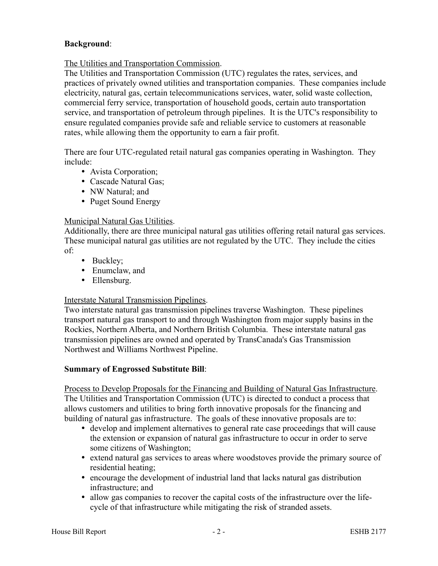# **Background**:

## The Utilities and Transportation Commission.

The Utilities and Transportation Commission (UTC) regulates the rates, services, and practices of privately owned utilities and transportation companies. These companies include electricity, natural gas, certain telecommunications services, water, solid waste collection, commercial ferry service, transportation of household goods, certain auto transportation service, and transportation of petroleum through pipelines. It is the UTC's responsibility to ensure regulated companies provide safe and reliable service to customers at reasonable rates, while allowing them the opportunity to earn a fair profit.

There are four UTC-regulated retail natural gas companies operating in Washington. They include:

- Avista Corporation;
- Cascade Natural Gas;
- NW Natural; and
- Puget Sound Energy

## Municipal Natural Gas Utilities.

Additionally, there are three municipal natural gas utilities offering retail natural gas services. These municipal natural gas utilities are not regulated by the UTC. They include the cities of:

- Buckley;
- Enumclaw, and
- Ellensburg.

## Interstate Natural Transmission Pipelines.

Two interstate natural gas transmission pipelines traverse Washington. These pipelines transport natural gas transport to and through Washington from major supply basins in the Rockies, Northern Alberta, and Northern British Columbia. These interstate natural gas transmission pipelines are owned and operated by TransCanada's Gas Transmission Northwest and Williams Northwest Pipeline.

## **Summary of Engrossed Substitute Bill**:

Process to Develop Proposals for the Financing and Building of Natural Gas Infrastructure. The Utilities and Transportation Commission (UTC) is directed to conduct a process that allows customers and utilities to bring forth innovative proposals for the financing and building of natural gas infrastructure. The goals of these innovative proposals are to:

- develop and implement alternatives to general rate case proceedings that will cause the extension or expansion of natural gas infrastructure to occur in order to serve some citizens of Washington;
- extend natural gas services to areas where woodstoves provide the primary source of residential heating;
- encourage the development of industrial land that lacks natural gas distribution infrastructure; and
- allow gas companies to recover the capital costs of the infrastructure over the lifecycle of that infrastructure while mitigating the risk of stranded assets.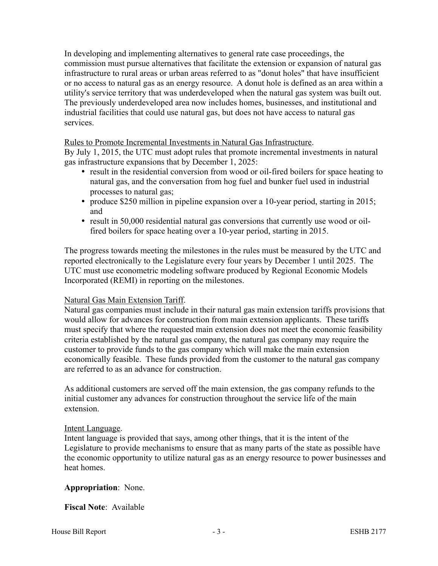In developing and implementing alternatives to general rate case proceedings, the commission must pursue alternatives that facilitate the extension or expansion of natural gas infrastructure to rural areas or urban areas referred to as "donut holes" that have insufficient or no access to natural gas as an energy resource. A donut hole is defined as an area within a utility's service territory that was underdeveloped when the natural gas system was built out. The previously underdeveloped area now includes homes, businesses, and institutional and industrial facilities that could use natural gas, but does not have access to natural gas services.

#### Rules to Promote Incremental Investments in Natural Gas Infrastructure.

By July 1, 2015, the UTC must adopt rules that promote incremental investments in natural gas infrastructure expansions that by December 1, 2025:

- result in the residential conversion from wood or oil-fired boilers for space heating to natural gas, and the conversation from hog fuel and bunker fuel used in industrial processes to natural gas;
- produce \$250 million in pipeline expansion over a 10-year period, starting in 2015; and
- result in 50,000 residential natural gas conversions that currently use wood or oilfired boilers for space heating over a 10-year period, starting in 2015.

The progress towards meeting the milestones in the rules must be measured by the UTC and reported electronically to the Legislature every four years by December 1 until 2025. The UTC must use econometric modeling software produced by Regional Economic Models Incorporated (REMI) in reporting on the milestones.

#### Natural Gas Main Extension Tariff.

Natural gas companies must include in their natural gas main extension tariffs provisions that would allow for advances for construction from main extension applicants. These tariffs must specify that where the requested main extension does not meet the economic feasibility criteria established by the natural gas company, the natural gas company may require the customer to provide funds to the gas company which will make the main extension economically feasible. These funds provided from the customer to the natural gas company are referred to as an advance for construction.

As additional customers are served off the main extension, the gas company refunds to the initial customer any advances for construction throughout the service life of the main extension.

#### Intent Language.

Intent language is provided that says, among other things, that it is the intent of the Legislature to provide mechanisms to ensure that as many parts of the state as possible have the economic opportunity to utilize natural gas as an energy resource to power businesses and heat homes.

## **Appropriation**: None.

## **Fiscal Note**: Available

House Bill Report **Figure 21. In the SHB 2177** - 3 - **ESHB 2177**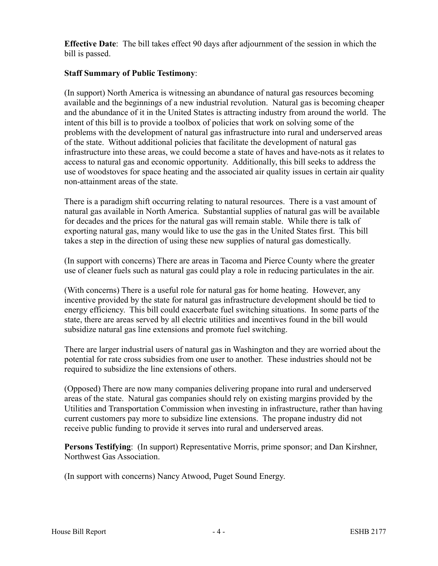**Effective Date**: The bill takes effect 90 days after adjournment of the session in which the bill is passed.

## **Staff Summary of Public Testimony**:

(In support) North America is witnessing an abundance of natural gas resources becoming available and the beginnings of a new industrial revolution. Natural gas is becoming cheaper and the abundance of it in the United States is attracting industry from around the world. The intent of this bill is to provide a toolbox of policies that work on solving some of the problems with the development of natural gas infrastructure into rural and underserved areas of the state. Without additional policies that facilitate the development of natural gas infrastructure into these areas, we could become a state of haves and have-nots as it relates to access to natural gas and economic opportunity. Additionally, this bill seeks to address the use of woodstoves for space heating and the associated air quality issues in certain air quality non-attainment areas of the state.

There is a paradigm shift occurring relating to natural resources. There is a vast amount of natural gas available in North America. Substantial supplies of natural gas will be available for decades and the prices for the natural gas will remain stable. While there is talk of exporting natural gas, many would like to use the gas in the United States first. This bill takes a step in the direction of using these new supplies of natural gas domestically.

(In support with concerns) There are areas in Tacoma and Pierce County where the greater use of cleaner fuels such as natural gas could play a role in reducing particulates in the air.

(With concerns) There is a useful role for natural gas for home heating. However, any incentive provided by the state for natural gas infrastructure development should be tied to energy efficiency. This bill could exacerbate fuel switching situations. In some parts of the state, there are areas served by all electric utilities and incentives found in the bill would subsidize natural gas line extensions and promote fuel switching.

There are larger industrial users of natural gas in Washington and they are worried about the potential for rate cross subsidies from one user to another. These industries should not be required to subsidize the line extensions of others.

(Opposed) There are now many companies delivering propane into rural and underserved areas of the state. Natural gas companies should rely on existing margins provided by the Utilities and Transportation Commission when investing in infrastructure, rather than having current customers pay more to subsidize line extensions. The propane industry did not receive public funding to provide it serves into rural and underserved areas.

**Persons Testifying**: (In support) Representative Morris, prime sponsor; and Dan Kirshner, Northwest Gas Association.

(In support with concerns) Nancy Atwood, Puget Sound Energy.